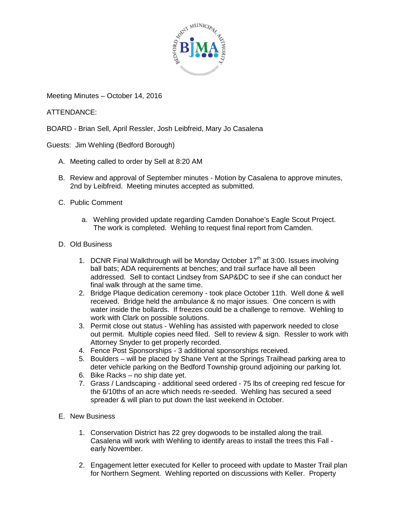

Meeting Minutes – October 14, 2016

ATTENDANCE:

BOARD - Brian Sell, April Ressler, Josh Leibfreid, Mary Jo Casalena

Guests: Jim Wehling (Bedford Borough)

- A. Meeting called to order by Sell at 8:20 AM
- B. Review and approval of September minutes Motion by Casalena to approve minutes, 2nd by Leibfreid. Meeting minutes accepted as submitted.
- C. Public Comment
	- a. Wehling provided update regarding Camden Donahoe's Eagle Scout Project. The work is completed. Wehling to request final report from Camden.
- D. Old Business
	- 1. DCNR Final Walkthrough will be Monday October  $17<sup>th</sup>$  at 3:00. Issues involving ball bats; ADA requirements at benches; and trail surface have all been addressed. Sell to contact Lindsey from SAP&DC to see if she can conduct her final walk through at the same time.
	- 2. Bridge Plaque dedication ceremony took place October 11th. Well done & well received. Bridge held the ambulance & no major issues. One concern is with water inside the bollards. If freezes could be a challenge to remove. Wehling to work with Clark on possible solutions.
	- 3. Permit close out status Wehling has assisted with paperwork needed to close out permit. Multiple copies need filed. Sell to review & sign. Ressler to work with Attorney Snyder to get properly recorded.
	- 4. Fence Post Sponsorships 3 additional sponsorships received.
	- 5. Boulders will be placed by Shane Vent at the Springs Trailhead parking area to deter vehicle parking on the Bedford Township ground adjoining our parking lot.
	- 6. Bike Racks no ship date yet.
	- 7. Grass / Landscaping additional seed ordered 75 lbs of creeping red fescue for the 6/10ths of an acre which needs re-seeded. Wehling has secured a seed spreader & will plan to put down the last weekend in October.
- E. New Business
	- 1. Conservation District has 22 grey dogwoods to be installed along the trail. Casalena will work with Wehling to identify areas to install the trees this Fall early November.
	- 2. Engagement letter executed for Keller to proceed with update to Master Trail plan for Northern Segment. Wehling reported on discussions with Keller. Property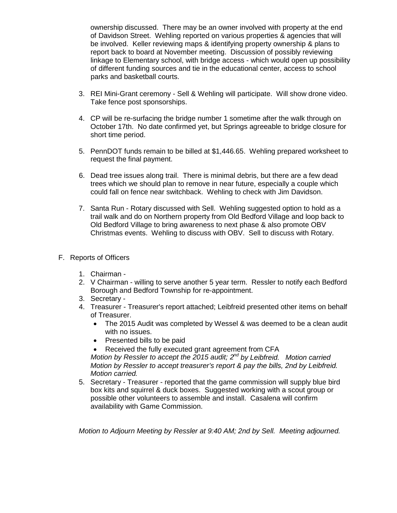ownership discussed. There may be an owner involved with property at the end of Davidson Street. Wehling reported on various properties & agencies that will be involved. Keller reviewing maps & identifying property ownership & plans to report back to board at November meeting. Discussion of possibly reviewing linkage to Elementary school, with bridge access - which would open up possibility of different funding sources and tie in the educational center, access to school parks and basketball courts.

- 3. REI Mini-Grant ceremony Sell & Wehling will participate. Will show drone video. Take fence post sponsorships.
- 4. CP will be re-surfacing the bridge number 1 sometime after the walk through on October 17th. No date confirmed yet, but Springs agreeable to bridge closure for short time period.
- 5. PennDOT funds remain to be billed at \$1,446.65. Wehling prepared worksheet to request the final payment.
- 6. Dead tree issues along trail. There is minimal debris, but there are a few dead trees which we should plan to remove in near future, especially a couple which could fall on fence near switchback. Wehling to check with Jim Davidson.
- 7. Santa Run Rotary discussed with Sell. Wehling suggested option to hold as a trail walk and do on Northern property from Old Bedford Village and loop back to Old Bedford Village to bring awareness to next phase & also promote OBV Christmas events. Wehling to discuss with OBV. Sell to discuss with Rotary.
- F. Reports of Officers
	- 1. Chairman -
	- 2. V Chairman willing to serve another 5 year term. Ressler to notify each Bedford Borough and Bedford Township for re-appointment.
	- 3. Secretary -
	- 4. Treasurer Treasurer's report attached; Leibfreid presented other items on behalf of Treasurer.
		- The 2015 Audit was completed by Wessel & was deemed to be a clean audit with no issues.
		- Presented bills to be paid
		- Received the fully executed grant agreement from CFA

*Motion by Ressler to accept the 2015 audit; 2nd by Leibfreid. Motion carried Motion by Ressler to accept treasurer's report & pay the bills, 2nd by Leibfreid. Motion carried.*

5. Secretary - Treasurer - reported that the game commission will supply blue bird box kits and squirrel & duck boxes. Suggested working with a scout group or possible other volunteers to assemble and install. Casalena will confirm availability with Game Commission.

*Motion to Adjourn Meeting by Ressler at 9:40 AM; 2nd by Sell. Meeting adjourned.*